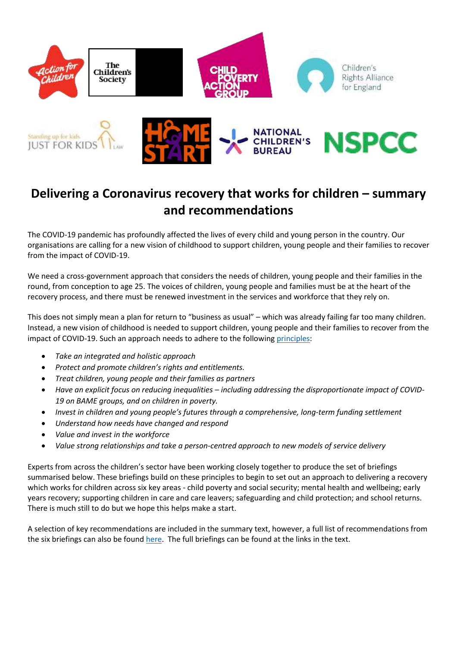

### **Delivering a Coronavirus recovery that works for children – summary and recommendations**

The COVID-19 pandemic has profoundly affected the lives of every child and young person in the country. Our organisations are calling for a new vision of childhood to support children, young people and their families to recover from the impact of COVID-19.

We need a cross-government approach that considers the needs of children, young people and their families in the round, from conception to age 25. The voices of children, young people and families must be at the heart of the recovery process, and there must be renewed investment in the services and workforce that they rely on.

This does not simply mean a plan for return to "business as usual" – which was already failing far too many children. Instead, a new vision of childhood is needed to support children, young people and their families to recover from the impact of COVID-19. Such an approach needs to adhere to the following [principles:](https://www.childrenssociety.org.uk/what-we-do/resources-and-publications/covid-19-recovery-briefing-overarching-principles-and-actions)

- *Take an integrated and holistic approach*
- *Protect and promote children's rights and entitlements.*
- *Treat children, young people and their families as partners*
- *Have an explicit focus on reducing inequalities – including addressing the disproportionate impact of COVID-19 on BAME groups, and on children in poverty.*
- *Invest in children and young people's futures through a comprehensive, long-term funding settlement*
- *Understand how needs have changed and respond*
- *Value and invest in the workforce*
- *Value strong relationships and take a person-centred approach to new models of service delivery*

Experts from across the children's sector have been working closely together to produce the set of briefings summarised below. These briefings build on these principles to begin to set out an approach to delivering a recovery which works for children across six key areas - child poverty and social security; mental health and wellbeing; early years recovery; supporting children in care and care leavers; safeguarding and child protection; and school returns. There is much still to do but we hope this helps make a start.

A selection of key recommendations are included in the summary text, however, a full list of recommendations from the six briefings can also be found [here.](https://www.childrenssociety.org.uk/what-we-do/resources-and-publications/covid-19-recovery-full-recommendations) The full briefings can be found at the links in the text.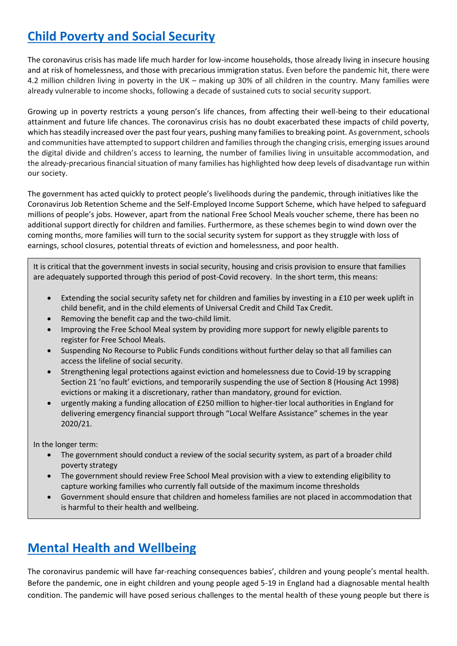### **[Child Poverty and Social Security](https://www.childrenssociety.org.uk/what-we-do/resources-and-publications/covid-19-recovery-briefing-child-poverty-social-security-and)**

The coronavirus crisis has made life much harder for low-income households, those already living in insecure housing and at risk of homelessness, and those with precarious immigration status. Even before the pandemic hit, there were 4.2 million children living in poverty in the UK – making up 30% of all children in the country. Many families were already vulnerable to income shocks, following a decade of sustained cuts to social security support.

Growing up in poverty restricts a young person's life chances, from affecting their well-being to their educational attainment and future life chances. The coronavirus crisis has no doubt exacerbated these impacts of child poverty, which has steadily increased over the past four years, pushing many families to breaking point. As government, schools and communities have attempted to support children and families through the changing crisis, emerging issues around the digital divide and children's access to learning, the number of families living in unsuitable accommodation, and the already-precarious financial situation of many families has highlighted how deep levels of disadvantage run within our society.

The government has acted quickly to protect people's livelihoods during the pandemic, through initiatives like the Coronavirus Job Retention Scheme and the Self-Employed Income Support Scheme, which have helped to safeguard millions of people's jobs. However, apart from the national Free School Meals voucher scheme, there has been no additional support directly for children and families. Furthermore, as these schemes begin to wind down over the coming months, more families will turn to the social security system for support as they struggle with loss of earnings, school closures, potential threats of eviction and homelessness, and poor health.

It is critical that the government invests in social security, housing and crisis provision to ensure that families are adequately supported through this period of post-Covid recovery. In the short term, this means:

- Extending the social security safety net for children and families by investing in a £10 per week uplift in child benefit, and in the child elements of Universal Credit and Child Tax Credit.
- Removing the benefit cap and the two-child limit.
- Improving the Free School Meal system by providing more support for newly eligible parents to register for Free School Meals.
- Suspending No Recourse to Public Funds conditions without further delay so that all families can access the lifeline of social security.
- Strengthening legal protections against eviction and homelessness due to Covid-19 by scrapping Section 21 'no fault' evictions, and temporarily suspending the use of Section 8 (Housing Act 1998) evictions or making it a discretionary, rather than mandatory, ground for eviction.
- urgently making a funding allocation of £250 million to higher-tier local authorities in England for delivering emergency financial support through "Local Welfare Assistance" schemes in the year 2020/21.

In the longer term:

- The government should conduct a review of the social security system, as part of a broader child poverty strategy
- The government should review Free School Meal provision with a view to extending eligibility to capture working families who currently fall outside of the maximum income thresholds
- Government should ensure that children and homeless families are not placed in accommodation that is harmful to their health and wellbeing.

# **[Mental Health and Wellbeing](https://www.childrenssociety.org.uk/what-we-do/resources-and-publications/covid-19-recovery-briefing-children-and-young-peoples-mental)**

The coronavirus pandemic will have far-reaching consequences babies', children and young people's mental health. Before the pandemic, one in eight children and young people aged 5-19 in England had a diagnosable mental health condition. The pandemic will have posed serious challenges to the mental health of these young people but there is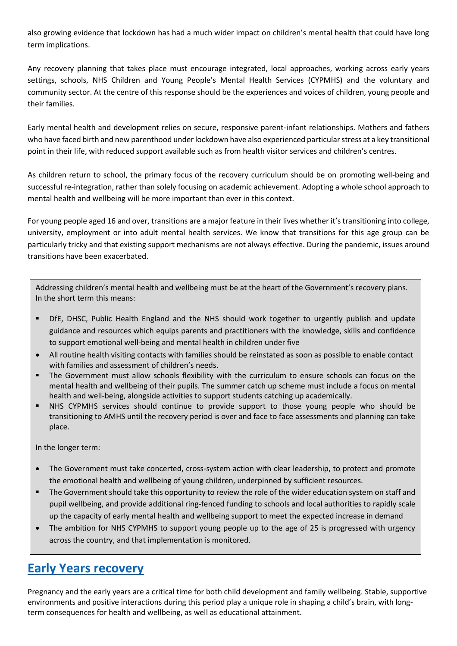also growing evidence that lockdown has had a much wider impact on children's mental health that could have long term implications.

Any recovery planning that takes place must encourage integrated, local approaches, working across early years settings, schools, NHS Children and Young People's Mental Health Services (CYPMHS) and the voluntary and community sector. At the centre of this response should be the experiences and voices of children, young people and their families.

Early mental health and development relies on secure, responsive parent-infant relationships. Mothers and fathers who have faced birth and new parenthood under lockdown have also experienced particular stress at a key transitional point in their life, with reduced support available such as from health visitor services and children's centres.

As children return to school, the primary focus of the recovery curriculum should be on promoting well-being and successful re-integration, rather than solely focusing on academic achievement. Adopting a whole school approach to mental health and wellbeing will be more important than ever in this context.

For young people aged 16 and over, transitions are a major feature in their lives whether it's transitioning into college, university, employment or into adult mental health services. We know that transitions for this age group can be particularly tricky and that existing support mechanisms are not always effective. During the pandemic, issues around transitions have been exacerbated.

Addressing children's mental health and wellbeing must be at the heart of the Government's recovery plans. In the short term this means:

- DfE, DHSC, Public Health England and the NHS should work together to urgently publish and update guidance and resources which equips parents and practitioners with the knowledge, skills and confidence to support emotional well-being and mental health in children under five
- All routine health visiting contacts with families should be reinstated as soon as possible to enable contact with families and assessment of children's needs.
- The Government must allow schools flexibility with the curriculum to ensure schools can focus on the mental health and wellbeing of their pupils. The summer catch up scheme must include a focus on mental health and well-being, alongside activities to support students catching up academically.
- NHS CYPMHS services should continue to provide support to those young people who should be transitioning to AMHS until the recovery period is over and face to face assessments and planning can take place.

In the longer term:

- The Government must take concerted, cross-system action with clear leadership, to protect and promote the emotional health and wellbeing of young children, underpinned by sufficient resources.
- The Government should take this opportunity to review the role of the wider education system on staff and pupil wellbeing, and provide additional ring-fenced funding to schools and local authorities to rapidly scale up the capacity of early mental health and wellbeing support to meet the expected increase in demand
- The ambition for NHS CYPMHS to support young people up to the age of 25 is progressed with urgency across the country, and that implementation is monitored.

#### **[Early Years recovery](https://www.childrenssociety.org.uk/what-we-do/resources-and-publications/covid-19-recovery-briefing-early-years)**

Pregnancy and the early years are a critical time for both child development and family wellbeing. Stable, supportive environments and positive interactions during this period play a unique role in shaping a child's brain, with longterm consequences for health and wellbeing, as well as educational attainment.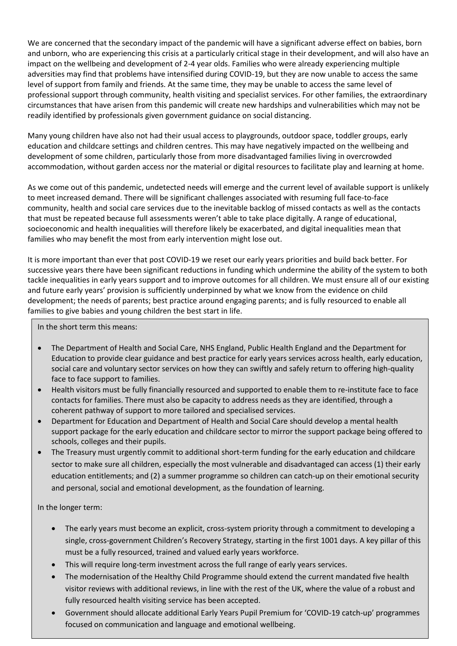We are concerned that the secondary impact of the pandemic will have a significant adverse effect on babies, born and unborn, who are experiencing this crisis at a particularly critical stage in their development, and will also have an impact on the wellbeing and development of 2-4 year olds. Families who were already experiencing multiple adversities may find that problems have intensified during COVID-19, but they are now unable to access the same level of support from family and friends. At the same time, they may be unable to access the same level of professional support through community, health visiting and specialist services. For other families, the extraordinary circumstances that have arisen from this pandemic will create new hardships and vulnerabilities which may not be readily identified by professionals given government guidance on social distancing.

Many young children have also not had their usual access to playgrounds, outdoor space, toddler groups, early education and childcare settings and children centres. This may have negatively impacted on the wellbeing and development of some children, particularly those from more disadvantaged families living in overcrowded accommodation, without garden access nor the material or digital resources to facilitate play and learning at home.

As we come out of this pandemic, undetected needs will emerge and the current level of available support is unlikely to meet increased demand. There will be significant challenges associated with resuming full face-to-face community, health and social care services due to the inevitable backlog of missed contacts as well as the contacts that must be repeated because full assessments weren't able to take place digitally. A range of educational, socioeconomic and health inequalities will therefore likely be exacerbated, and digital inequalities mean that families who may benefit the most from early intervention might lose out.

It is more important than ever that post COVID-19 we reset our early years priorities and build back better. For successive years there have been significant reductions in funding which undermine the ability of the system to both tackle inequalities in early years support and to improve outcomes for all children. We must ensure all of our existing and future early years' provision is sufficiently underpinned by what we know from the evidence on child development; the needs of parents; best practice around engaging parents; and is fully resourced to enable all families to give babies and young children the best start in life.

In the short term this means:

- The Department of Health and Social Care, NHS England, Public Health England and the Department for Education to provide clear guidance and best practice for early years services across health, early education, social care and voluntary sector services on how they can swiftly and safely return to offering high-quality face to face support to families.
- Health visitors must be fully financially resourced and supported to enable them to re-institute face to face contacts for families. There must also be capacity to address needs as they are identified, through a coherent pathway of support to more tailored and specialised services.
- Department for Education and Department of Health and Social Care should develop a mental health support package for the early education and childcare sector to mirror the support package being offered to schools, colleges and their pupils.
- The Treasury must urgently commit to additional short-term funding for the early education and childcare sector to make sure all children, especially the most vulnerable and disadvantaged can access (1) their early education entitlements; and (2) a summer programme so children can catch-up on their emotional security and personal, social and emotional development, as the foundation of learning.

In the longer term:

- The early years must become an explicit, cross-system priority through a commitment to developing a single, cross-government Children's Recovery Strategy, starting in the first 1001 days. A key pillar of this must be a fully resourced, trained and valued early years workforce.
- This will require long-term investment across the full range of early years services.
- The modernisation of the Healthy Child Programme should extend the current mandated five health visitor reviews with additional reviews, in line with the rest of the UK, where the value of a robust and fully resourced health visiting service has been accepted.
- Government should allocate additional Early Years Pupil Premium for 'COVID-19 catch-up' programmes focused on communication and language and emotional wellbeing.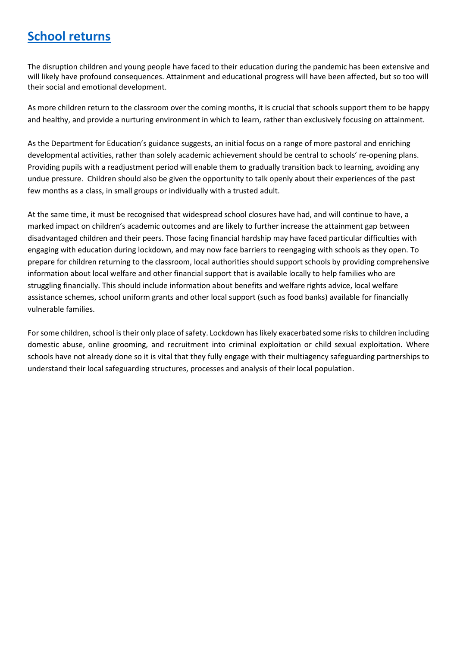#### **[School returns](https://www.childrenssociety.org.uk/what-we-do/resources-and-publications/covid-19-recovery-briefing-back-to-school)**

The disruption children and young people have faced to their education during the pandemic has been extensive and will likely have profound consequences. Attainment and educational progress will have been affected, but so too will their social and emotional development.

As more children return to the classroom over the coming months, it is crucial that schools support them to be happy and healthy, and provide a nurturing environment in which to learn, rather than exclusively focusing on attainment.

As the Department for Education's guidance suggests, an initial focus on a range of more pastoral and enriching developmental activities, rather than solely academic achievement should be central to schools' re-opening plans. Providing pupils with a readjustment period will enable them to gradually transition back to learning, avoiding any undue pressure. Children should also be given the opportunity to talk openly about their experiences of the past few months as a class, in small groups or individually with a trusted adult.

At the same time, it must be recognised that widespread school closures have had, and will continue to have, a marked impact on children's academic outcomes and are likely to further increase the attainment gap between disadvantaged children and their peers. Those facing financial hardship may have faced particular difficulties with engaging with education during lockdown, and may now face barriers to reengaging with schools as they open. To prepare for children returning to the classroom, local authorities should support schools by providing comprehensive information about local welfare and other financial support that is available locally to help families who are struggling financially. This should include information about benefits and welfare rights advice, local welfare assistance schemes, school uniform grants and other local support (such as food banks) available for financially vulnerable families.

For some children, school is their only place of safety. Lockdown has likely exacerbated some risks to children including domestic abuse, online grooming, and recruitment into criminal exploitation or child sexual exploitation. Where schools have not already done so it is vital that they fully engage with their multiagency safeguarding partnerships to understand their local safeguarding structures, processes and analysis of their local population.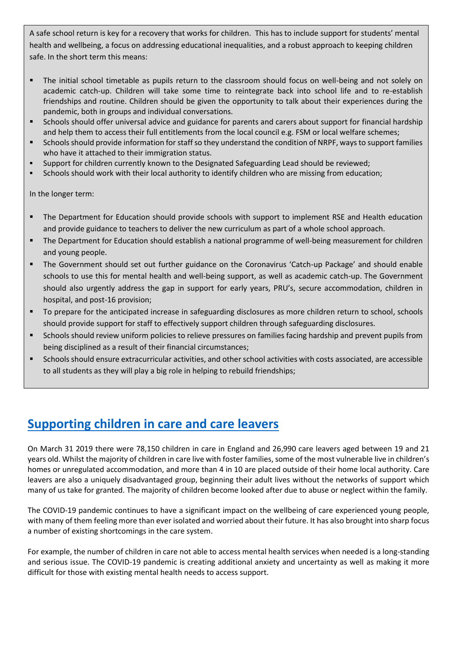A safe school return is key for a recovery that works for children. This has to include support for students' mental health and wellbeing, a focus on addressing educational inequalities, and a robust approach to keeping children safe. In the short term this means:

- The initial school timetable as pupils return to the classroom should focus on well-being and not solely on academic catch-up. Children will take some time to reintegrate back into school life and to re-establish friendships and routine. Children should be given the opportunity to talk about their experiences during the pandemic, both in groups and individual conversations.
- Schools should offer universal advice and guidance for parents and carers about support for financial hardship and help them to access their full entitlements from the local council e.g. FSM or local welfare schemes;
- Schools should provide information for staff so they understand the condition of NRPF, ways to support families who have it attached to their immigration status.
- Support for children currently known to the Designated Safeguarding Lead should be reviewed;
- Schools should work with their local authority to identify children who are missing from education;

In the longer term:

- The Department for Education should provide schools with support to implement RSE and Health education and provide guidance to teachers to deliver the new curriculum as part of a whole school approach.
- The Department for Education should establish a national programme of well-being measurement for children and young people.
- The Government should set out further guidance on the Coronavirus 'Catch-up Package' and should enable schools to use this for mental health and well-being support, as well as academic catch-up. The Government should also urgently address the gap in support for early years, PRU's, secure accommodation, children in hospital, and post-16 provision;
- To prepare for the anticipated increase in safeguarding disclosures as more children return to school, schools should provide support for staff to effectively support children through safeguarding disclosures.
- Schools should review uniform policies to relieve pressures on families facing hardship and prevent pupils from being disciplined as a result of their financial circumstances;
- Schools should ensure extracurricular activities, and other school activities with costs associated, are accessible to all students as they will play a big role in helping to rebuild friendships;

#### **[Supporting children in care and care leavers](https://www.childrenssociety.org.uk/what-we-do/resources-and-publications/covid-19-recovery-briefing-children-in-care-and-care-leavers)**

On March 31 2019 there were 78,150 children in care in England and 26,990 care leavers aged between 19 and 21 years old. Whilst the majority of children in care live with foster families, some of the most vulnerable live in children's homes or unregulated accommodation, and more than 4 in 10 are placed outside of their home local authority. Care leavers are also a uniquely disadvantaged group, beginning their adult lives without the networks of support which many of us take for granted. The majority of children become looked after due to abuse or neglect within the family.

The COVID-19 pandemic continues to have a significant impact on the wellbeing of care experienced young people, with many of them feeling more than ever isolated and worried about their future. It has also brought into sharp focus a number of existing shortcomings in the care system.

For example, the number of children in care not able to access mental health services when needed is a long-standing and serious issue. The COVID-19 pandemic is creating additional anxiety and uncertainty as well as making it more difficult for those with existing mental health needs to access support.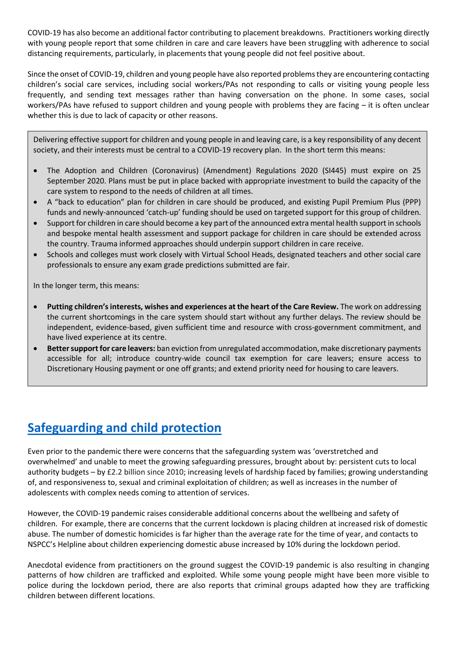COVID-19 has also become an additional factor contributing to placement breakdowns. Practitioners working directly with young people report that some children in care and care leavers have been struggling with adherence to social distancing requirements, particularly, in placements that young people did not feel positive about.

Since the onset of COVID-19, children and young people have also reported problems they are encountering contacting children's social care services, including social workers/PAs not responding to calls or visiting young people less frequently, and sending text messages rather than having conversation on the phone. In some cases, social workers/PAs have refused to support children and young people with problems they are facing – it is often unclear whether this is due to lack of capacity or other reasons.

Delivering effective support for children and young people in and leaving care, is a key responsibility of any decent society, and their interests must be central to a COVID-19 recovery plan. In the short term this means:

- The Adoption and Children (Coronavirus) (Amendment) Regulations 2020 (SI445) must expire on 25 September 2020. Plans must be put in place backed with appropriate investment to build the capacity of the care system to respond to the needs of children at all times.
- A "back to education" plan for children in care should be produced, and existing Pupil Premium Plus (PPP) funds and newly-announced 'catch-up' funding should be used on targeted support for this group of children.
- Support for children in care should become a key part of the announced extra mental health support in schools and bespoke mental health assessment and support package for children in care should be extended across the country. Trauma informed approaches should underpin support children in care receive.
- Schools and colleges must work closely with Virtual School Heads, designated teachers and other social care professionals to ensure any exam grade predictions submitted are fair.

In the longer term, this means:

- **Putting children's interests, wishes and experiences at the heart of the Care Review.** The work on addressing the current shortcomings in the care system should start without any further delays. The review should be independent, evidence-based, given sufficient time and resource with cross-government commitment, and have lived experience at its centre.
- **Better support for care leavers:** ban eviction from unregulated accommodation, make discretionary payments accessible for all; introduce country-wide council tax exemption for care leavers; ensure access to Discretionary Housing payment or one off grants; and extend priority need for housing to care leavers.

# **[Safeguarding and child protection](https://www.childrenssociety.org.uk/what-we-do/resources-and-publications/covid-19-recovery-briefing-safeguarding-and-child-protection)**

Even prior to the pandemic there were concerns that the safeguarding system was 'overstretched and overwhelmed' and unable to meet the growing safeguarding pressures, brought about by: persistent cuts to local authority budgets – by £2.2 billion since 2010; increasing levels of hardship faced by families; growing understanding of, and responsiveness to, sexual and criminal exploitation of children; as well as increases in the number of adolescents with complex needs coming to attention of services.

However, the COVID-19 pandemic raises considerable additional concerns about the wellbeing and safety of children. For example, there are concerns that the current lockdown is placing children at increased risk of domestic abuse. The number of domestic homicides is far higher than the average rate for the time of year, and contacts to NSPCC's Helpline about children experiencing domestic abuse increased by 10% during the lockdown period.

Anecdotal evidence from practitioners on the ground suggest the COVID-19 pandemic is also resulting in changing patterns of how children are trafficked and exploited. While some young people might have been more visible to police during the lockdown period, there are also reports that criminal groups adapted how they are trafficking children between different locations.